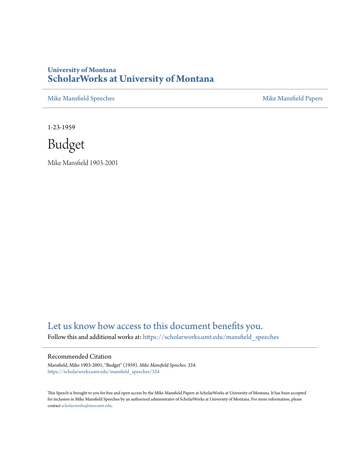## **University of Montana [ScholarWorks at University of Montana](https://scholarworks.umt.edu?utm_source=scholarworks.umt.edu%2Fmansfield_speeches%2F324&utm_medium=PDF&utm_campaign=PDFCoverPages)**

[Mike Mansfield Speeches](https://scholarworks.umt.edu/mansfield_speeches?utm_source=scholarworks.umt.edu%2Fmansfield_speeches%2F324&utm_medium=PDF&utm_campaign=PDFCoverPages) **[Mike Mansfield Papers](https://scholarworks.umt.edu/mike_mansfield_papers?utm_source=scholarworks.umt.edu%2Fmansfield_speeches%2F324&utm_medium=PDF&utm_campaign=PDFCoverPages)** Mike Mansfield Papers

1-23-1959

Budget

Mike Mansfield 1903-2001

## [Let us know how access to this document benefits you.](https://goo.gl/forms/s2rGfXOLzz71qgsB2)

Follow this and additional works at: [https://scholarworks.umt.edu/mansfield\\_speeches](https://scholarworks.umt.edu/mansfield_speeches?utm_source=scholarworks.umt.edu%2Fmansfield_speeches%2F324&utm_medium=PDF&utm_campaign=PDFCoverPages)

## Recommended Citation

Mansfield, Mike 1903-2001, "Budget" (1959). *Mike Mansfield Speeches*. 324. [https://scholarworks.umt.edu/mansfield\\_speeches/324](https://scholarworks.umt.edu/mansfield_speeches/324?utm_source=scholarworks.umt.edu%2Fmansfield_speeches%2F324&utm_medium=PDF&utm_campaign=PDFCoverPages)

This Speech is brought to you for free and open access by the Mike Mansfield Papers at ScholarWorks at University of Montana. It has been accepted for inclusion in Mike Mansfield Speeches by an authorized administrator of ScholarWorks at University of Montana. For more information, please contact [scholarworks@mso.umt.edu.](mailto:scholarworks@mso.umt.edu)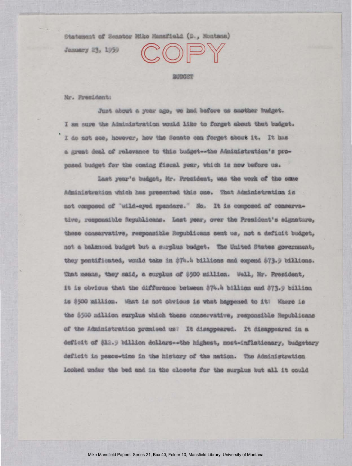Statement of Senator Mike Manafield (D., Montana)

January 23, 1959

 $\Gamma(\cap)$ 

BUDGET

Mr. President:

Just about a year ago, we had bafore us amother budget. I am sure the Administration would like to forget about that budget. I do not see, however, how the Senato can forget about it. It has a grant deal of relevance to this budget -- the Administration's proposed budget for the coming fiscal year, which is now before us.

Last year's budget, Mr. President, was the work of the same Administration which has presented this one. That Administration is not composed of "wild-eyed spenders." Ho. It is composed of conservative, responsible Republicans. Last year, over the President's signature, these conservative, responsible Republicans sent us, not a deficit budget, not a balænced budget but a surplus budget. The United States government, they pontificated, would take in \$74.4 billions and expend \$73.9 billions. That means, they said, a surplus of 0500 million. Well, Mr. President, it is obvious that the difference between \$74.4 billion and \$73.9 billion is \$500 million. What is not obvious is what happened to it! Where is the \$500 million surplus which these conservative, responsible Republicans of the Administration promised us? It disappeared. It disappeared in a deficit of \$12.9 billion dollars -- the highest, most-inflationary, budgetary deficit in peace-time in the history of the nation. The Administration looked under the bed and in the closets for the surplus but all it could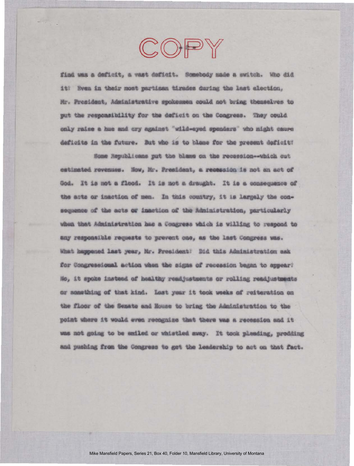find was a deficit, a vast deficit. Somebody made a switch. Who did it? Even in their most partisan tirades during the last election. Mr. President, Administrative spokesmen could not bring themselves to put the responsibility for the deficit on the Congress. They could only raise a hue and cry against "wild-eyed spendars" who might cause deficits in the future. But who is to blame for the present deficit:

COPY

Some Republicans put the blame on the recession -- which out estimated revenues. Now, Mr. President, a recession is not an act of God. It is not a flood. It is not a draught. It is a consequence of the acts or inaction of men. In this country, it is largely the consequence of the acts or inaction of the Administration, particularly when that Administration has a Congress which is willing to respond to any responsible requests to prevent one, as the last Congress was. What happened last year, Mr. President: Did this Administration ask for Congressional action when the signs of recession began to appear? No, it spoke instead of healthy readjustments or rolling readjustments or seasthing of that kind. Last year it took weeks of reiteration on the floor of the Senate and House to bring the Administration to the point where it would even recognize that there was a recession and it was not going to be emiled or whistled away. It took pleading, prodding and pushing from the Congress to get the leadership to act on that fact.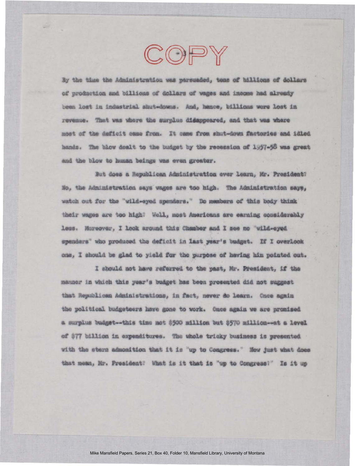By the time the Administration was parsuaded, tens of billions of dollars of production and billions of dollars of wages and income had already been lost in industrial shut-downs. And, hence, billions wore lost in revenue. That was whore the surplue disappeared, and that was where most of the deficit came from. It came from shut-down factories and idled hands. The blow dealt to the budget by the recession of 1957-58 was great and the blow to human beings was even greater.

COPY

But does a Republican Administration ever learn, Mr. President? No, the Administration says wages are too high. The Administration says, watch out for the "wild-eyed spenders." Do members of this body think their wages are too high? Well, most Americans are earning considerably less. Horeover, I look around this Chamber and I see no "wild-eyed spenders' who produced the deficit in last year's budget. If I overlook one, I should be glad to yield for the purpose of having him pointed out.

I should not have referred to the past, Mr. President, if the manner in which this year's budget has been presented did not suggest that Republican Administrations, in fact, never do learn. Once again the political budgeteers have gone to work. Once again we are promised a surplus budget -- this time not \$500 million but \$570 million---nt a level of \$77 billion in expenditures. The whole tricky business is presented with the stern admonition that it is "up to Congress." How just what does that mesn, Mr. President! What is it that is "up to Congress!" Is it up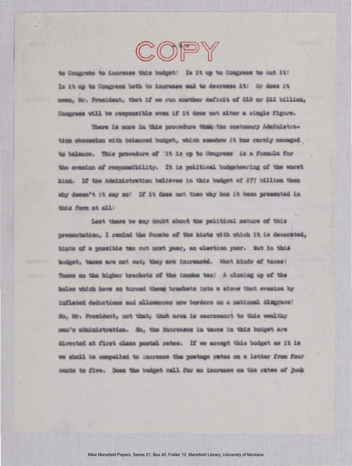to Congress to increase this budget? Is it up to Congress to cut it? Is it up to Congress both to increase and to decrease it: Or does it mean, Mr. President, that if we run another deficit of \$10 or \$12 billion, Congress will be responsible even if it does not alter a single figure.

COPY

There is more in this procedure than the customary Administration obsession with balanced budget, which somehow it has rarely managed to balance. This procedure of "it is up to Congress" is a formula for the evasion of responsibility. It is political budgeteering of the worst kind. If the Administration believes in this budget of \$77 billion then why doesn't it say so? If it does not then why has it been presented in this form at all?

Lest there be any doubt about the political nature of this presentation, I remind the Senate of the hints with which it is decorated, hints of a possible tax out next year, an election year. But in this budget, taxes are not cut; they are increased. What kinds of taxes? Taxes on the higher brackets of the income tax? A closing up of the holes which have so turned these braskets into a sieve that evasion by inflated deductions and allowances now borders on a national disgrace? Ho, Mr. President, not that; that area is sacrosanct to this wealthy man's administration. Ho, the fnorosses in taxes in this budget are directed at first class postal rates. If we accept this budget as it is we shall be compelled to increase the postage rates on a letter from four cents to five. Does the budget call for an increase on the rates of junk